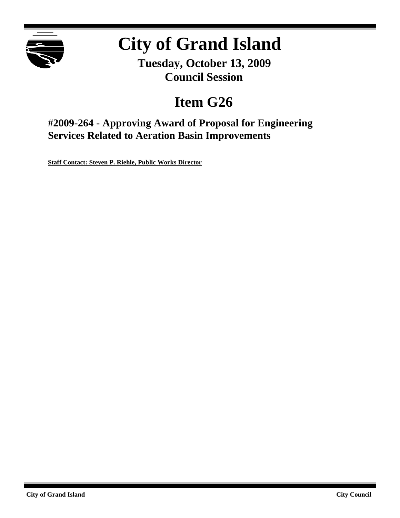

# **City of Grand Island**

**Tuesday, October 13, 2009 Council Session**

## **Item G26**

**#2009-264 - Approving Award of Proposal for Engineering Services Related to Aeration Basin Improvements**

**Staff Contact: Steven P. Riehle, Public Works Director**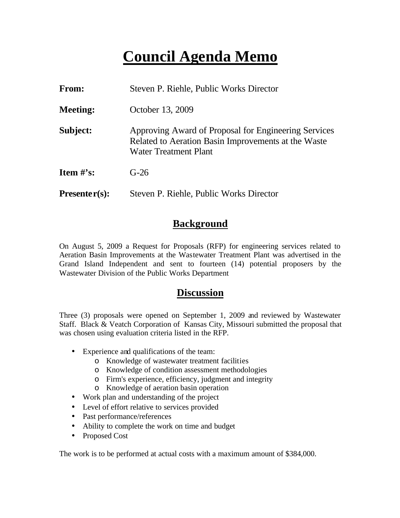## **Council Agenda Memo**

| <b>From:</b>    | Steven P. Riehle, Public Works Director                                                                                                     |  |
|-----------------|---------------------------------------------------------------------------------------------------------------------------------------------|--|
| <b>Meeting:</b> | October 13, 2009                                                                                                                            |  |
| Subject:        | Approving Award of Proposal for Engineering Services<br>Related to Aeration Basin Improvements at the Waste<br><b>Water Treatment Plant</b> |  |
| Item $#$ 's:    | $G-26$                                                                                                                                      |  |
| $Presenter(s):$ | Steven P. Riehle, Public Works Director                                                                                                     |  |

### **Background**

On August 5, 2009 a Request for Proposals (RFP) for engineering services related to Aeration Basin Improvements at the Wastewater Treatment Plant was advertised in the Grand Island Independent and sent to fourteen (14) potential proposers by the Wastewater Division of the Public Works Department

#### **Discussion**

Three (3) proposals were opened on September 1, 2009 and reviewed by Wastewater Staff. Black & Veatch Corporation of Kansas City, Missouri submitted the proposal that was chosen using evaluation criteria listed in the RFP.

- Experience and qualifications of the team:
	- o Knowledge of wastewater treatment facilities
	- o Knowledge of condition assessment methodologies
	- o Firm's experience, efficiency, judgment and integrity
	- o Knowledge of aeration basin operation
- Work plan and understanding of the project
- Level of effort relative to services provided
- Past performance/references
- Ability to complete the work on time and budget
- Proposed Cost

The work is to be performed at actual costs with a maximum amount of \$384,000.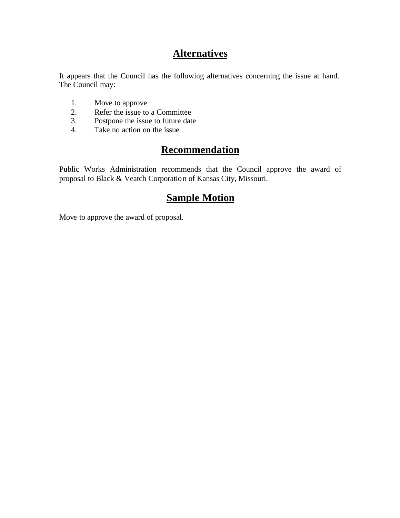## **Alternatives**

It appears that the Council has the following alternatives concerning the issue at hand. The Council may:

- 1. Move to approve
- 2. Refer the issue to a Committee<br>3. Postpone the issue to future date
- Postpone the issue to future date
- 4. Take no action on the issue

## **Recommendation**

Public Works Administration recommends that the Council approve the award of proposal to Black & Veatch Corporation of Kansas City, Missouri.

### **Sample Motion**

Move to approve the award of proposal.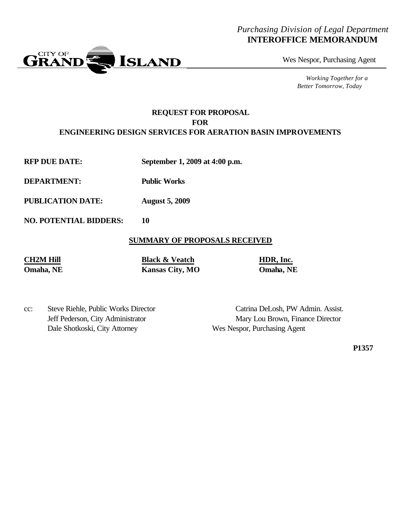#### *Purchasing Division of Legal Department* **INTEROFFICE MEMORANDUM**



Wes Nespor, Purchasing Agent

*Working Together for a Better Tomorrow, Today*

#### **REQUEST FOR PROPOSAL FOR ENGINEERING DESIGN SERVICES FOR AERATION BASIN IMPROVEMENTS**

- **RFP DUE DATE: September 1, 2009 at 4:00 p.m.**
- **DEPARTMENT: Public Works**
- **PUBLICATION DATE: August 5, 2009**
- **NO. POTENTIAL BIDDERS: 10**

#### **SUMMARY OF PROPOSALS RECEIVED**

| <b>CH2M Hill</b> | <b>Black &amp; Veatch</b> | HDR, Inc. |
|------------------|---------------------------|-----------|
| Omaha, NE        | <b>Kansas City, MO</b>    | Omaha, NE |

cc: Steve Riehle, Public Works Director Catrina DeLosh, PW Admin. Assist. Dale Shotkoski, City Attorney Wes Nespor, Purchasing Agent

Jeff Pederson, City Administrator Mary Lou Brown, Finance Director

**P1357**